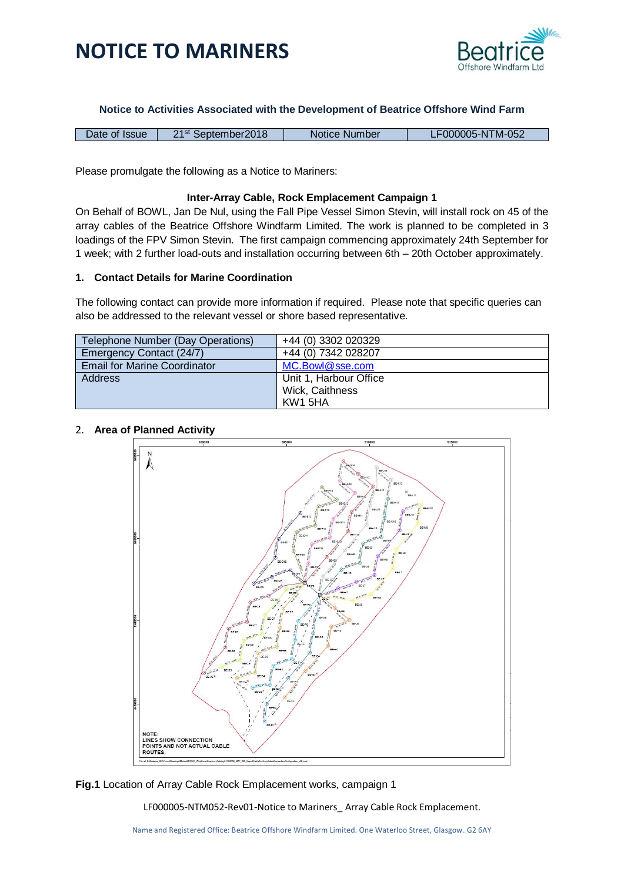

**Notice to Activities Associated with the Development of Beatrice Offshore Wind Farm**

| F000005-NTM-052<br>n 4 St<br>September2018<br>Date of Issue<br>Notice Number |  |
|------------------------------------------------------------------------------|--|
|------------------------------------------------------------------------------|--|

Please promulgate the following as a Notice to Mariners:

### **Inter-Array Cable, Rock Emplacement Campaign 1**

On Behalf of BOWL, Jan De Nul, using the Fall Pipe Vessel Simon Stevin, will install rock on 45 of the array cables of the Beatrice Offshore Windfarm Limited. The work is planned to be completed in 3 loadings of the FPV Simon Stevin. The first campaign commencing approximately 24th September for 1 week; with 2 further load-outs and installation occurring between 6th – 20th October approximately.

### **1. Contact Details for Marine Coordination**

The following contact can provide more information if required. Please note that specific queries can also be addressed to the relevant vessel or shore based representative.

| Telephone Number (Day Operations)   | +44 (0) 3302 020329    |
|-------------------------------------|------------------------|
| Emergency Contact (24/7)            | +44 (0) 7342 028207    |
| <b>Email for Marine Coordinator</b> | MC.Bowl@sse.com        |
| <b>Address</b>                      | Unit 1, Harbour Office |
|                                     | Wick, Caithness        |
|                                     | KW1 5HA                |

### 2. **Area of Planned Activity**



**Fig.1** Location of Array Cable Rock Emplacement works, campaign 1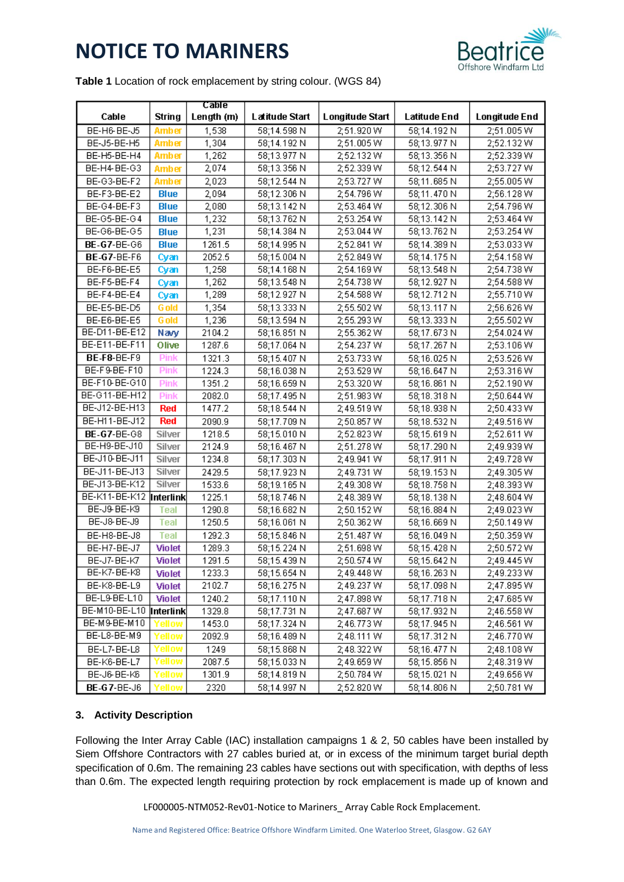

**Table 1** Location of rock emplacement by string colour. (WGS 84)

|                          |               | Cable      |                |                 |              |                      |
|--------------------------|---------------|------------|----------------|-----------------|--------------|----------------------|
| Cable                    | String        | Length (m) | Latitude Start | Longitude Start | Latitude End | <b>Longitude End</b> |
| BE-H6-BE-J5              | <b>Amber</b>  | 1,538      | 58;14.598 N    | 2;51.920 W      | 58;14.192 N  | 2;51.005W            |
| BE-J5-BE-H5              | Amber         | 1,304      | 58;14.192 N    | 2;51.005 W      | 58;13.977 N  | 2;52.132W            |
| BE-H5-BE-H4              | Amber         | 1,262      | 58;13.977 N    | 2;52.132 W      | 58;13.356 N  | 2;52.339 W           |
| BE-H4-BE-G3              | <b>Amber</b>  | 2,074      | 58;13.356 N    | 2;52.339 W      | 58;12.544 N  | 2;53.727 W           |
| BE-G3-BE-F2              | Amber         | 2,023      | 58;12.544 N    | 2;53.727 W      | 58;11.685 N  | 2;55.005 W           |
| BE-F3-BE-E2              | <b>Blue</b>   | 2,094      | 58;12.306N     | 2,54.796 W      | 58;11.470 N  | 2;56.128 W           |
| BE-G4-BE-F3              | Blue          | 2,080      | 58;13.142 N    | 2,53.464 W      | 58;12.306N   | 2;54.796 W           |
| BE-G5-BE-G4              | <b>Blue</b>   | 1,232      | 58;13.762N     | 2;53.254 W      | 58;13.142 N  | 2;53.464 W           |
| BE-G6-BE-G5              | <b>Blue</b>   | 1,231      | 58;14.384 N    | 2;53.044 W      | 58;13.762 N  | 2;53.254 W           |
| <b>BE-G7-BE-G6</b>       | <b>Blue</b>   | 1261.5     | 58;14.995N     | 2,52.841 W      | 58;14.389 N  | 2;53.033 W           |
| <b>BE-G7-BE-F6</b>       | Cyan          | 2052.5     | 58;15.004 N    | 2;52.849 W      | 58;14.175N   | 2;54.158 W           |
| BE-F6-BE-E5              | Cyan          | 1,258      | 58;14.168 N    | 2;54.169 W      | 58;13.548 N  | 2;54.738 W           |
| BE-F5-BE-F4              | Cyan          | 1,262      | 58;13.548 N    | 2;54.738 W      | 58;12.927 N  | 2;54.588 W           |
| BE-F4-BE-E4              | Cyan          | 1,289      | 58;12.927 N    | 2,54.588 W      | 58;12.712 N  | 2;55.710W            |
| BE-E5-BE-D5              | <b>G</b> old  | 1,354      | 58;13.333 N    | 2;55.502 W      | 58;13.117 N  | 2;56.626 W           |
| BE-E6-BE-E5              | <b>G</b> old  | 1,236      | 58;13.594 N    | 2,55.293 W      | 58;13.333 N  | 2;55.502W            |
| BE-D11-BE-E12            | Navy          | 2104.2     | 58;16.851 N    | 2;55.362 W      | 58;17.673N   | 2;54.024 W           |
| <b>BE-E11-BE-F11</b>     | Olive         | 1287.6     | 58;17.064 N    | 2;54.237 W      | 58;17.267 N  | 2;53.106 W           |
| BE-F8-BE-F9              | <b>Pink</b>   | 1321.3     | 58;15.407 N    | 2;53.733W       | 58;16.025N   | 2;53.526 W           |
| BE-F9-BE-F10             | <b>Pink</b>   | 1224.3     | 58;16.038 N    | 2;53.529 W      | 58;16.647 N  | 2;53.316W            |
| BE-F10-BE-G10            | <b>Pink</b>   | 1351.2     | 58;16.659 N    | 2;53.320 W      | 58;16.861 N  | 2;52.190 W           |
| BE-G11-BE-H12            | <b>Pink</b>   | 2082.0     | 58;17.495N     | 2;51.983W       | 58;18.318 N  | 2;50.644 W           |
| BE-J12-BE-H13            | <b>Red</b>    | 1477.2     | 58;18.544 N    | 2;49.519 W      | 58;18.938 N  | 2;50.433W            |
| BE-H11-BE-J12            | <b>Red</b>    | 2090.9     | 58;17.709 N    | 2;50.857 W      | 58;18.532N   | 2;49.516W            |
| <b>BE-G7-BE-G8</b>       | Silver        | 1218.5     | 58;15.010 N    | 2;52.823W       | 58;15.619N   | 2;52.611 W           |
| BE-H9-BE-J10             | Silver        | 2124.9     | 58;16.467 N    | 2;51.278 W      | 58;17.290 N  | 2;49.939 W           |
| BE-J10-BE-J11            | Silver        | 1234.8     | 58;17.303N     | 2;49.941 W      | 58;17.911 N  | 2;49.728 W           |
| BE-J11-BE-J13            | Silver        | 2429.5     | 58;17.923 N    | 2;49.731 W      | 58;19.153 N  | 2;49.305 W           |
| BE-J13-BE-K12            | Silver        | 1533.6     | 58;19.165N     | 2;49.308 W      | 58;18.758 N  | 2;48.393W            |
| BE-K11-BE-K12 Interlink  |               | 1225.1     | 58;18.746 N    | 2;48.389 W      | 58;18.138 N  | 2;48.604 W           |
| BE-J9-BE-K9              | Teal          | 1290.8     | 58;16.682N     | 2;50.152W       | 58;16.884 N  | 2;49.023W            |
| BE-J8-BE-J9              | <b>Teal</b>   | 1250.5     | 58;16.061 N    | 2;50.362 W      | 58;16.669 N  | 2;50.149W            |
| BE-H8-BE-J8              | <b>Teal</b>   | 1292.3     | 58;15.846 N    | 2;51.487 W      | 58;16.049N   | 2;50.359W            |
| BE-H7-BE-J7              | <b>Violet</b> | 1289.3     | 58;15.224 N    | 2;51.698 W      | 58;15.428 N  | 2;50.572W            |
| BE-J7-BE-K7              | <b>Violet</b> | 1291.5     | 58;15.439 N    | 2;50.574 W      | 58;15.642N   | 2;49.445 W           |
| <b>BE-K7-BE-K8</b>       | Violet        | 1233.3     | 58;15.654 N    | 2;49.448 W      | 58;16.263 N  | 2;49.233W            |
| BE-K8-BE-L9              | Violet        | 2102.7     | 58;16.275N     | 2;49.237 W      | 58;17.098 N  | 2;47.895 W           |
| BE-L9-BE-L10             | <b>Violet</b> | 1240.2     | 58;17.110 N    | 2;47.898 W      | 58;17.718 N  | 2;47.685 W           |
| BE-M10-BE-L10  Interlink |               | 1329.8     | 58;17.731 N    | 2;47.687 W      | 58;17.932 N  | 2;46.558 W           |
| BE-M9-BE-M10             | ⁄ellow        | 1453.0     | 58;17.324 N    | 2;46.773W       | 58;17.945 N  | 2;46.561 W           |
| BE-L8-BE-M9              | Yellow        | 2092.9     | 58;16.489 N    | 2;48.111 W      | 58;17.312 N  | 2;46.770 W           |
| BE-L7-BE-L8              | Yellow        | 1249       | 58;15.868 N    | 2;48.322W       | 58;16.477 N  | 2;48.108 W           |
| BE-K6-BE-L7              | Yellow        | 2087.5     | 58;15.033 N    | 2;49.659 W      | 58;15.856 N  | 2;48.319 W           |
| BE-J6-BE-K6              | rellow        | 1301.9     | 58;14.819 N    | 2;50.784 W      | 58;15.021 N  | 2;49.656 W           |
| <b>BE-G7-BE-J6</b>       | rellow)       | 2320       | 58;14.997 N    | 2;52.820 W      | 58;14.806N   | 2;50.781 W           |

### **3. Activity Description**

Following the Inter Array Cable (IAC) installation campaigns 1 & 2, 50 cables have been installed by Siem Offshore Contractors with 27 cables buried at, or in excess of the minimum target burial depth specification of 0.6m. The remaining 23 cables have sections out with specification, with depths of less than 0.6m. The expected length requiring protection by rock emplacement is made up of known and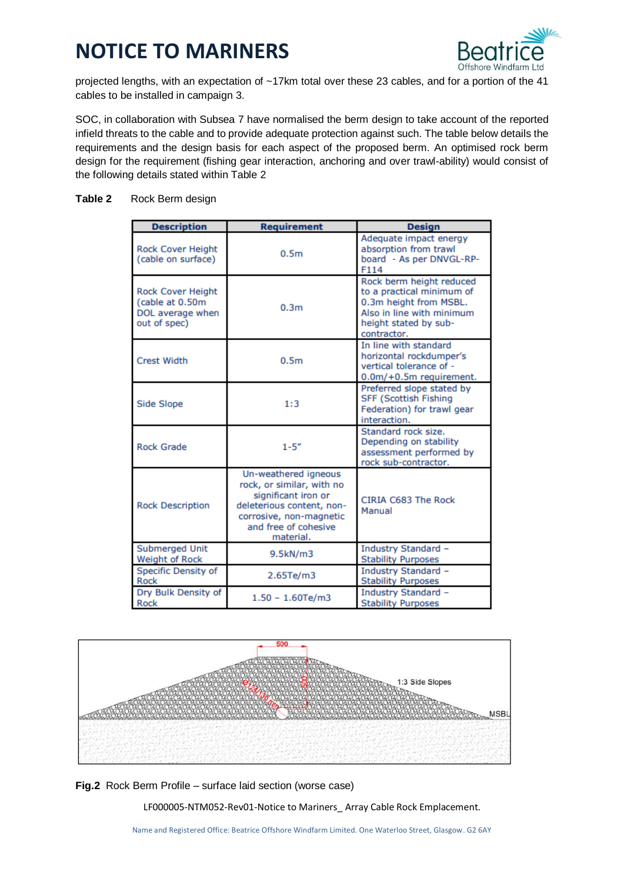

projected lengths, with an expectation of ~17km total over these 23 cables, and for a portion of the 41 cables to be installed in campaign 3.

SOC, in collaboration with Subsea 7 have normalised the berm design to take account of the reported infield threats to the cable and to provide adequate protection against such. The table below details the requirements and the design basis for each aspect of the proposed berm. An optimised rock berm design for the requirement (fishing gear interaction, anchoring and over trawl-ability) would consist of the following details stated within Table 2

# **Table 2** Rock Berm design

| <b>Description</b>                                                       | <b>Requirement</b>                                                                                                                                                    | <b>Design</b>                                                                                                                                        |
|--------------------------------------------------------------------------|-----------------------------------------------------------------------------------------------------------------------------------------------------------------------|------------------------------------------------------------------------------------------------------------------------------------------------------|
| <b>Rock Cover Height</b><br>(cable on surface)                           | 0.5 <sub>m</sub>                                                                                                                                                      | Adequate impact energy<br>absorption from trawl<br>board - As per DNVGL-RP-<br>F114                                                                  |
| Rock Cover Height<br>(cable at 0.50m<br>DOL average when<br>out of spec) | 0.3 <sub>m</sub>                                                                                                                                                      | Rock berm height reduced<br>to a practical minimum of<br>0.3m height from MSBL.<br>Also in line with minimum<br>height stated by sub-<br>contractor. |
| <b>Crest Width</b>                                                       | 0.5 <sub>m</sub>                                                                                                                                                      | In line with standard<br>horizontal rockdumper's<br>vertical tolerance of -<br>0.0m/+0.5m requirement.                                               |
| Side Slope                                                               | 1:3                                                                                                                                                                   | Preferred slope stated by<br><b>SFF (Scottish Fishing</b><br>Federation) for trawl gear<br>interaction.                                              |
| <b>Rock Grade</b>                                                        | $1 - 5''$                                                                                                                                                             | Standard rock size.<br>Depending on stability<br>assessment performed by<br>rock sub-contractor.                                                     |
| <b>Rock Description</b>                                                  | Un-weathered igneous<br>rock, or similar, with no<br>significant iron or<br>deleterious content, non-<br>corrosive, non-magnetic<br>and free of cohesive<br>material. | CIRIA C683 The Rock<br>Manual                                                                                                                        |
| Submerged Unit<br>Weight of Rock                                         | 9.5kN/m3                                                                                                                                                              | Industry Standard -<br><b>Stability Purposes</b>                                                                                                     |
| <b>Specific Density of</b><br>Rock                                       | 2.65Te/m3                                                                                                                                                             | Industry Standard -<br><b>Stability Purposes</b>                                                                                                     |
| Dry Bulk Density of<br>Rock                                              | $1.50 - 1.60 Te/m3$                                                                                                                                                   | Industry Standard -<br><b>Stability Purposes</b>                                                                                                     |



**Fig.2** Rock Berm Profile – surface laid section (worse case)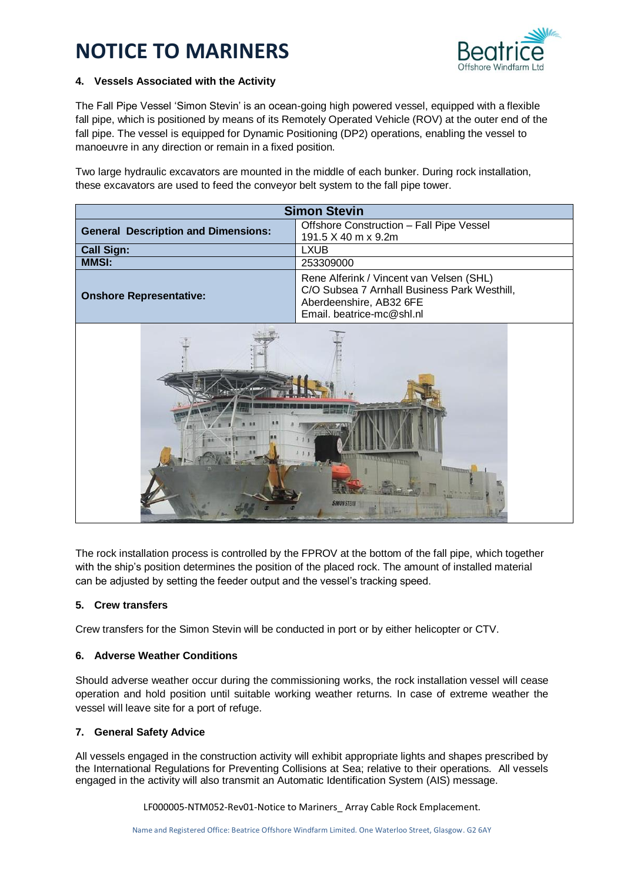

# **4. Vessels Associated with the Activity**

The Fall Pipe Vessel 'Simon Stevin' is an ocean-going high powered vessel, equipped with a flexible fall pipe, which is positioned by means of its Remotely Operated Vehicle (ROV) at the outer end of the fall pipe. The vessel is equipped for Dynamic Positioning (DP2) operations, enabling the vessel to manoeuvre in any direction or remain in a fixed position.

Two large hydraulic excavators are mounted in the middle of each bunker. During rock installation, these excavators are used to feed the conveyor belt system to the fall pipe tower.

| <b>Simon Stevin</b>                        |                                                                                                                                                  |  |  |  |
|--------------------------------------------|--------------------------------------------------------------------------------------------------------------------------------------------------|--|--|--|
| <b>General Description and Dimensions:</b> | Offshore Construction - Fall Pipe Vessel<br>191.5 X 40 m x 9.2m                                                                                  |  |  |  |
| <b>Call Sign:</b>                          | <b>LXUB</b>                                                                                                                                      |  |  |  |
| <b>MMSI:</b>                               | 253309000                                                                                                                                        |  |  |  |
| <b>Onshore Representative:</b>             | Rene Alferink / Vincent van Velsen (SHL)<br>C/O Subsea 7 Arnhall Business Park Westhill,<br>Aberdeenshire, AB32 6FE<br>Email. beatrice-mc@shl.nl |  |  |  |
| <b>SERVICE STR</b><br><b>SIMON STEVIN</b>  |                                                                                                                                                  |  |  |  |

The rock installation process is controlled by the FPROV at the bottom of the fall pipe, which together with the ship's position determines the position of the placed rock. The amount of installed material can be adjusted by setting the feeder output and the vessel's tracking speed.

### **5. Crew transfers**

Crew transfers for the Simon Stevin will be conducted in port or by either helicopter or CTV.

# **6. Adverse Weather Conditions**

Should adverse weather occur during the commissioning works, the rock installation vessel will cease operation and hold position until suitable working weather returns. In case of extreme weather the vessel will leave site for a port of refuge.

# **7. General Safety Advice**

All vessels engaged in the construction activity will exhibit appropriate lights and shapes prescribed by the International Regulations for Preventing Collisions at Sea; relative to their operations. All vessels engaged in the activity will also transmit an Automatic Identification System (AIS) message.